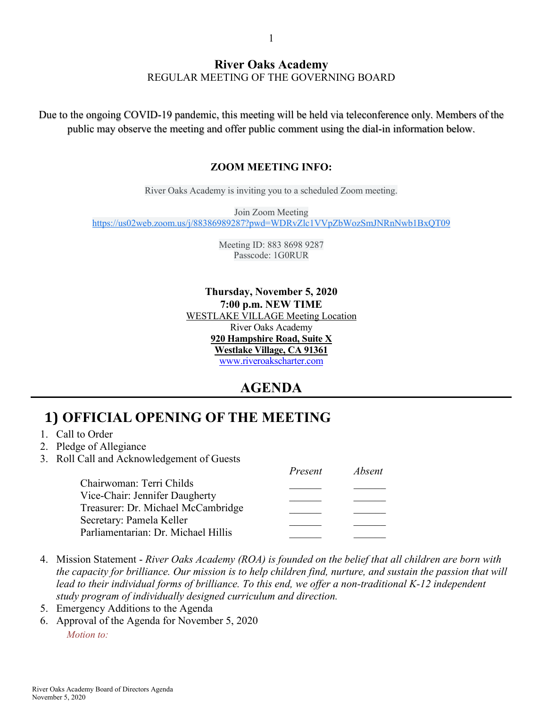#### **River Oaks Academy** REGULAR MEETING OF THE GOVERNING BOARD

Due to the ongoing COVID-19 pandemic, this meeting will be held via teleconference only. Members of the public may observe the meeting and offer public comment using the dial-in information below.

#### **ZOOM MEETING INFO:**

River Oaks Academy is inviting you to a scheduled Zoom meeting.

Join Zoom Meeting [https://us02web.zoom.us/j/88386989287?pwd=WDRvZlc1VVpZbWozSmJNRnNwb1BxQT09](https://www.google.com/url?q=https://us02web.zoom.us/j/88386989287?pwd%3DWDRvZlc1VVpZbWozSmJNRnNwb1BxQT09&sa=D&source=calendar&ust=1602451152955000&usg=AOvVaw3N36dumWsNfIco8XTfal9l)

> Meeting ID: 883 8698 9287 Passcode: 1G0RUR

**Thursday, November 5, 2020 7:00 p.m. NEW TIME** WESTLAKE VILLAGE Meeting Location River Oaks Academy **920 Hampshire Road, Suite X Westlake Village, CA 91361** [www.riveroakscharter.com](http://www.riveroakscharter.com/)

### **AGENDA**

# **1) OFFICIAL OPENING OF THE MEETING**

- 1. Call to Order
- 2. Pledge of Allegiance
- 3. Roll Call and Acknowledgement of Guests

|                                     | Present | <i>Absent</i> |
|-------------------------------------|---------|---------------|
| Chairwoman: Terri Childs            |         |               |
| Vice-Chair: Jennifer Daugherty      |         |               |
| Treasurer: Dr. Michael McCambridge  |         |               |
| Secretary: Pamela Keller            |         |               |
| Parliamentarian: Dr. Michael Hillis |         |               |

- 4. Mission Statement *River Oaks Academy (ROA) is founded on the belief that all children are born with the capacity for brilliance. Our mission is to help children find, nurture, and sustain the passion that will*  lead to their individual forms of brilliance. To this end, we offer a non-traditional K-12 independent *study program of individually designed curriculum and direction.*
- 5. Emergency Additions to the Agenda
- 6. Approval of the Agenda for November 5, 2020 *Motion to:*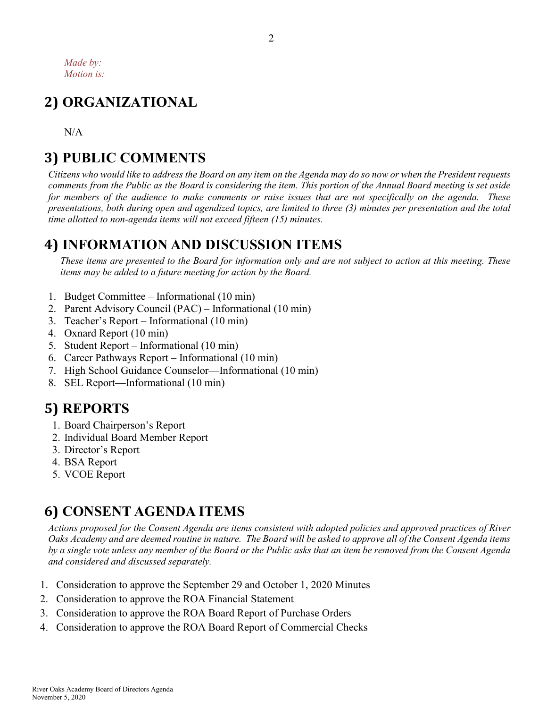# **2) ORGANIZATIONAL**

N/A

# **3) PUBLIC COMMENTS**

*Citizens who would like to address the Board on any item on the Agenda may do so now or when the President requests comments from the Public as the Board is considering the item. This portion of the Annual Board meeting is set aside for members of the audience to make comments or raise issues that are not specifically on the agenda. These presentations, both during open and agendized topics, are limited to three (3) minutes per presentation and the total time allotted to non-agenda items will not exceed fifteen (15) minutes.*

# **4) INFORMATION AND DISCUSSION ITEMS**

*These items are presented to the Board for information only and are not subject to action at this meeting. These items may be added to a future meeting for action by the Board.*

- 1. Budget Committee Informational (10 min)
- 2. Parent Advisory Council (PAC) Informational (10 min)
- 3. Teacher's Report Informational (10 min)
- 4. Oxnard Report (10 min)
- 5. Student Report Informational (10 min)
- 6. Career Pathways Report Informational (10 min)
- 7. High School Guidance Counselor—Informational (10 min)
- 8. SEL Report—Informational (10 min)

# **5) REPORTS**

- 1. Board Chairperson's Report
- 2. Individual Board Member Report
- 3. Director's Report
- 4. BSA Report
- 5. VCOE Report

# **6) CONSENT AGENDA ITEMS**

*Actions proposed for the Consent Agenda are items consistent with adopted policies and approved practices of River Oaks Academy and are deemed routine in nature. The Board will be asked to approve all of the Consent Agenda items by a single vote unless any member of the Board or the Public asks that an item be removed from the Consent Agenda and considered and discussed separately.*

- 1. Consideration to approve the September 29 and October 1, 2020 Minutes
- 2. Consideration to approve the ROA Financial Statement
- 3. Consideration to approve the ROA Board Report of Purchase Orders
- 4. Consideration to approve the ROA Board Report of Commercial Checks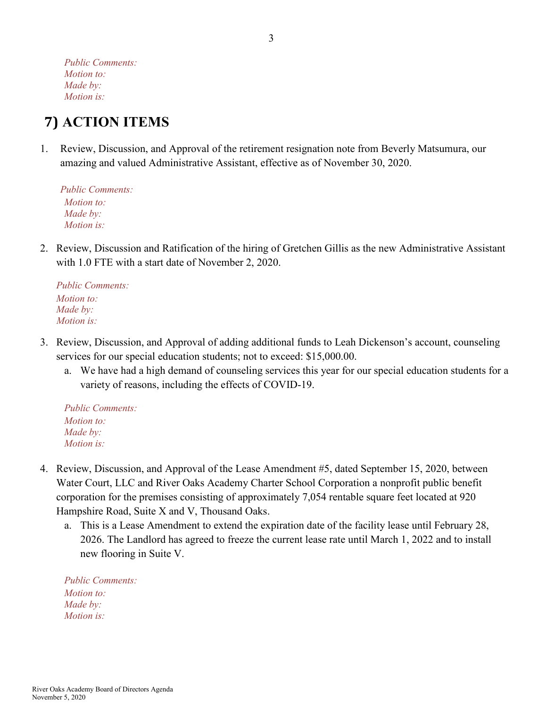*Public Comments: Motion to: Made by: Motion is:*

# **7) ACTION ITEMS**

1. Review, Discussion, and Approval of the retirement resignation note from Beverly Matsumura, our amazing and valued Administrative Assistant, effective as of November 30, 2020.

*Public Comments: Motion to: Made by: Motion is:*

2. Review, Discussion and Ratification of the hiring of Gretchen Gillis as the new Administrative Assistant with 1.0 FTE with a start date of November 2, 2020.

*Public Comments: Motion to: Made by: Motion is:*

- 3. Review, Discussion, and Approval of adding additional funds to Leah Dickenson's account, counseling services for our special education students; not to exceed: \$15,000.00.
	- a. We have had a high demand of counseling services this year for our special education students for a variety of reasons, including the effects of COVID-19.

*Public Comments: Motion to: Made by: Motion is:*

- 4. Review, Discussion, and Approval of the Lease Amendment #5, dated September 15, 2020, between Water Court, LLC and River Oaks Academy Charter School Corporation a nonprofit public benefit corporation for the premises consisting of approximately 7,054 rentable square feet located at 920 Hampshire Road, Suite X and V, Thousand Oaks.
	- a. This is a Lease Amendment to extend the expiration date of the facility lease until February 28, 2026. The Landlord has agreed to freeze the current lease rate until March 1, 2022 and to install new flooring in Suite V.

*Public Comments: Motion to: Made by: Motion is:*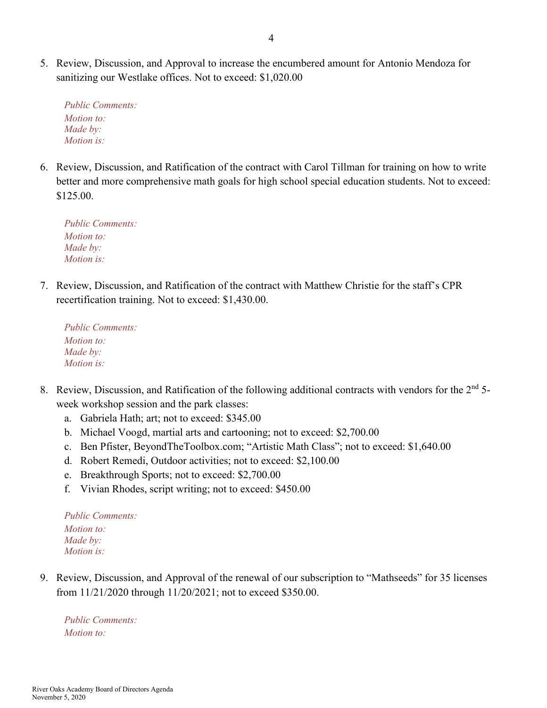5. Review, Discussion, and Approval to increase the encumbered amount for Antonio Mendoza for sanitizing our Westlake offices. Not to exceed: \$1,020.00

*Public Comments: Motion to: Made by: Motion is:*

6. Review, Discussion, and Ratification of the contract with Carol Tillman for training on how to write better and more comprehensive math goals for high school special education students. Not to exceed: \$125.00.

*Public Comments: Motion to: Made by: Motion is:*

7. Review, Discussion, and Ratification of the contract with Matthew Christie for the staff's CPR recertification training. Not to exceed: \$1,430.00.

*Public Comments: Motion to: Made by: Motion is:*

- 8. Review, Discussion, and Ratification of the following additional contracts with vendors for the  $2<sup>nd</sup>$  5week workshop session and the park classes:
	- a. Gabriela Hath; art; not to exceed: \$345.00
	- b. Michael Voogd, martial arts and cartooning; not to exceed: \$2,700.00
	- c. Ben Pfister, BeyondTheToolbox.com; "Artistic Math Class"; not to exceed: \$1,640.00
	- d. Robert Remedi, Outdoor activities; not to exceed: \$2,100.00
	- e. Breakthrough Sports; not to exceed: \$2,700.00
	- f. Vivian Rhodes, script writing; not to exceed: \$450.00

*Public Comments: Motion to: Made by: Motion is:*

9. Review, Discussion, and Approval of the renewal of our subscription to "Mathseeds" for 35 licenses from 11/21/2020 through 11/20/2021; not to exceed \$350.00.

*Public Comments: Motion to:*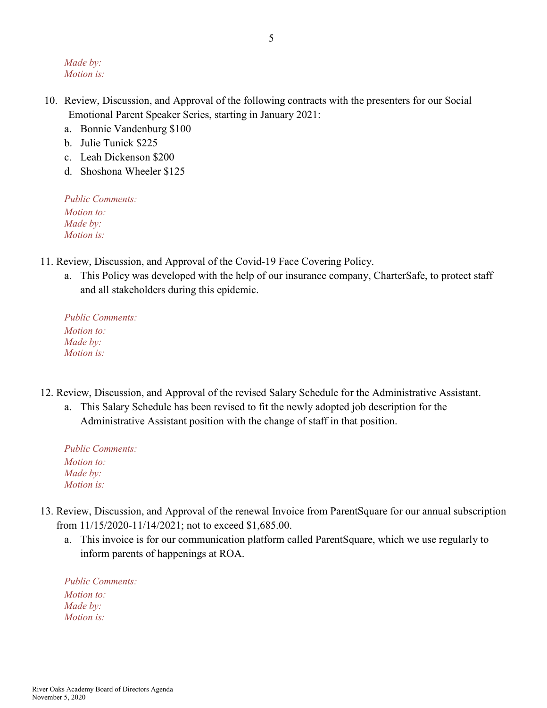*Made by: Motion is:*

- 10. Review, Discussion, and Approval of the following contracts with the presenters for our Social Emotional Parent Speaker Series, starting in January 2021:
	- a. Bonnie Vandenburg \$100
	- b. Julie Tunick \$225
	- c. Leah Dickenson \$200
	- d. Shoshona Wheeler \$125

*Public Comments: Motion to: Made by: Motion is:*

- 11. Review, Discussion, and Approval of the Covid-19 Face Covering Policy.
	- a. This Policy was developed with the help of our insurance company, CharterSafe, to protect staff and all stakeholders during this epidemic.

*Public Comments: Motion to: Made by: Motion is:*

- 12. Review, Discussion, and Approval of the revised Salary Schedule for the Administrative Assistant.
	- a. This Salary Schedule has been revised to fit the newly adopted job description for the Administrative Assistant position with the change of staff in that position.

*Public Comments: Motion to: Made by: Motion is:*

- 13. Review, Discussion, and Approval of the renewal Invoice from ParentSquare for our annual subscription from 11/15/2020-11/14/2021; not to exceed \$1,685.00.
	- a. This invoice is for our communication platform called ParentSquare, which we use regularly to inform parents of happenings at ROA.

*Public Comments: Motion to: Made by: Motion is:*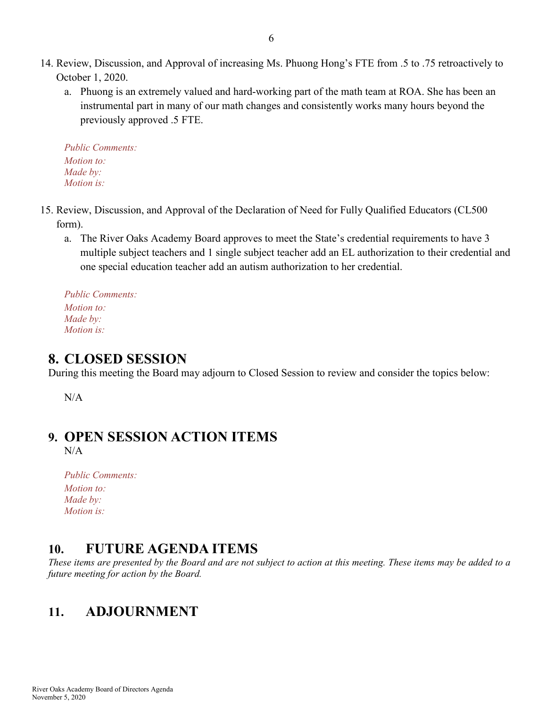- 14. Review, Discussion, and Approval of increasing Ms. Phuong Hong's FTE from .5 to .75 retroactively to October 1, 2020.
	- a. Phuong is an extremely valued and hard-working part of the math team at ROA. She has been an instrumental part in many of our math changes and consistently works many hours beyond the previously approved .5 FTE.

*Public Comments: Motion to: Made by: Motion is:*

- 15. Review, Discussion, and Approval of the Declaration of Need for Fully Qualified Educators (CL500 form).
	- a. The River Oaks Academy Board approves to meet the State's credential requirements to have 3 multiple subject teachers and 1 single subject teacher add an EL authorization to their credential and one special education teacher add an autism authorization to her credential.

*Public Comments: Motion to: Made by: Motion is:*

### **8. CLOSED SESSION**

During this meeting the Board may adjourn to Closed Session to review and consider the topics below:

N/A

### **9. OPEN SESSION ACTION ITEMS**

 $N/A$ 

| <b>Public Comments:</b> |  |
|-------------------------|--|
| <i>Motion to:</i>       |  |
| Made by:                |  |
| <i>Motion is:</i>       |  |

### **10. FUTURE AGENDA ITEMS**

*These items are presented by the Board and are not subject to action at this meeting. These items may be added to a future meeting for action by the Board.*

### **11. ADJOURNMENT**